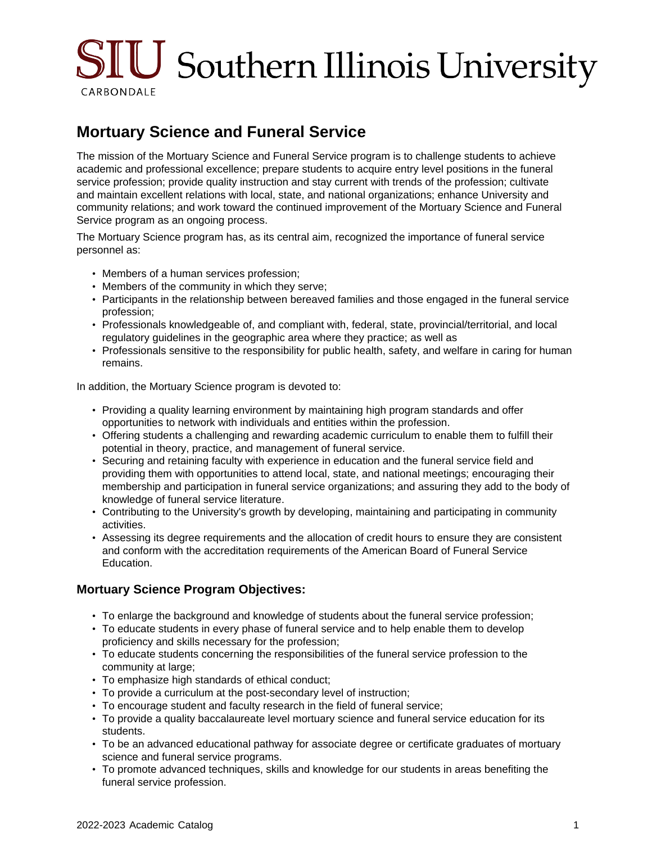# $\text{SIU}$  Southern Illinois University CARBONDALE

## **Mortuary Science and Funeral Service**

The mission of the Mortuary Science and Funeral Service program is to challenge students to achieve academic and professional excellence; prepare students to acquire entry level positions in the funeral service profession; provide quality instruction and stay current with trends of the profession; cultivate and maintain excellent relations with local, state, and national organizations; enhance University and community relations; and work toward the continued improvement of the Mortuary Science and Funeral Service program as an ongoing process.

The Mortuary Science program has, as its central aim, recognized the importance of funeral service personnel as:

- Members of a human services profession;
- Members of the community in which they serve;
- Participants in the relationship between bereaved families and those engaged in the funeral service profession;
- Professionals knowledgeable of, and compliant with, federal, state, provincial/territorial, and local regulatory guidelines in the geographic area where they practice; as well as
- Professionals sensitive to the responsibility for public health, safety, and welfare in caring for human remains.

In addition, the Mortuary Science program is devoted to:

- Providing a quality learning environment by maintaining high program standards and offer opportunities to network with individuals and entities within the profession.
- Offering students a challenging and rewarding academic curriculum to enable them to fulfill their potential in theory, practice, and management of funeral service.
- Securing and retaining faculty with experience in education and the funeral service field and providing them with opportunities to attend local, state, and national meetings; encouraging their membership and participation in funeral service organizations; and assuring they add to the body of knowledge of funeral service literature.
- Contributing to the University's growth by developing, maintaining and participating in community activities.
- Assessing its degree requirements and the allocation of credit hours to ensure they are consistent and conform with the accreditation requirements of the American Board of Funeral Service Education.

#### **Mortuary Science Program Objectives:**

- To enlarge the background and knowledge of students about the funeral service profession;
- To educate students in every phase of funeral service and to help enable them to develop proficiency and skills necessary for the profession;
- To educate students concerning the responsibilities of the funeral service profession to the community at large;
- To emphasize high standards of ethical conduct;
- To provide a curriculum at the post-secondary level of instruction;
- To encourage student and faculty research in the field of funeral service;
- To provide a quality baccalaureate level mortuary science and funeral service education for its students.
- To be an advanced educational pathway for associate degree or certificate graduates of mortuary science and funeral service programs.
- To promote advanced techniques, skills and knowledge for our students in areas benefiting the funeral service profession.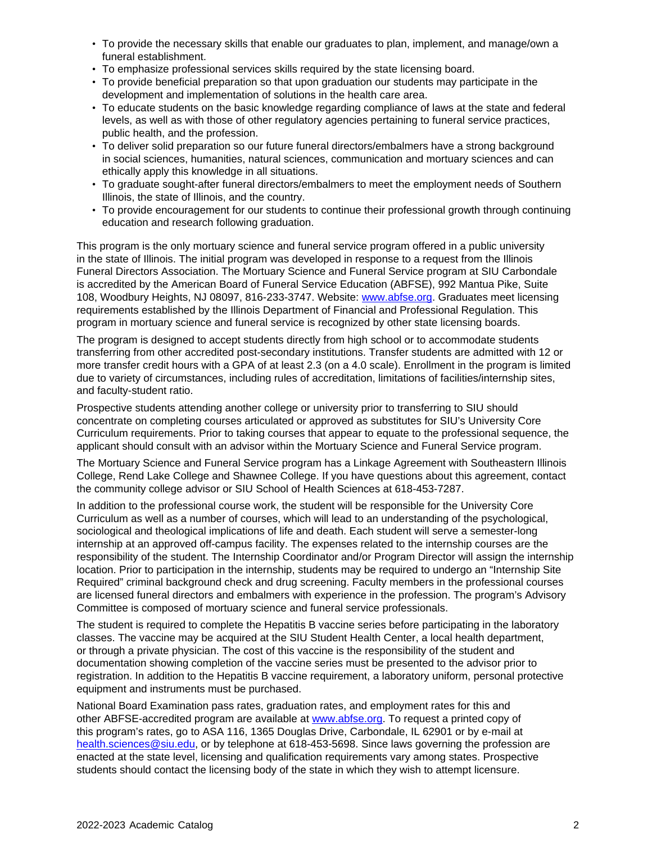- To provide the necessary skills that enable our graduates to plan, implement, and manage/own a funeral establishment.
- To emphasize professional services skills required by the state licensing board.
- To provide beneficial preparation so that upon graduation our students may participate in the development and implementation of solutions in the health care area.
- To educate students on the basic knowledge regarding compliance of laws at the state and federal levels, as well as with those of other regulatory agencies pertaining to funeral service practices, public health, and the profession.
- To deliver solid preparation so our future funeral directors/embalmers have a strong background in social sciences, humanities, natural sciences, communication and mortuary sciences and can ethically apply this knowledge in all situations.
- To graduate sought-after funeral directors/embalmers to meet the employment needs of Southern Illinois, the state of Illinois, and the country.
- To provide encouragement for our students to continue their professional growth through continuing education and research following graduation.

This program is the only mortuary science and funeral service program offered in a public university in the state of Illinois. The initial program was developed in response to a request from the Illinois Funeral Directors Association. The Mortuary Science and Funeral Service program at SIU Carbondale is accredited by the American Board of Funeral Service Education (ABFSE), 992 Mantua Pike, Suite 108, Woodbury Heights, NJ 08097, 816-233-3747. Website: [www.abfse.org](http://www.abfse.org). Graduates meet licensing requirements established by the Illinois Department of Financial and Professional Regulation. This program in mortuary science and funeral service is recognized by other state licensing boards.

The program is designed to accept students directly from high school or to accommodate students transferring from other accredited post-secondary institutions. Transfer students are admitted with 12 or more transfer credit hours with a GPA of at least 2.3 (on a 4.0 scale). Enrollment in the program is limited due to variety of circumstances, including rules of accreditation, limitations of facilities/internship sites, and faculty-student ratio.

Prospective students attending another college or university prior to transferring to SIU should concentrate on completing courses articulated or approved as substitutes for SIU's University Core Curriculum requirements. Prior to taking courses that appear to equate to the professional sequence, the applicant should consult with an advisor within the Mortuary Science and Funeral Service program.

The Mortuary Science and Funeral Service program has a Linkage Agreement with Southeastern Illinois College, Rend Lake College and Shawnee College. If you have questions about this agreement, contact the community college advisor or SIU School of Health Sciences at 618-453-7287.

In addition to the professional course work, the student will be responsible for the University Core Curriculum as well as a number of courses, which will lead to an understanding of the psychological, sociological and theological implications of life and death. Each student will serve a semester-long internship at an approved off-campus facility. The expenses related to the internship courses are the responsibility of the student. The Internship Coordinator and/or Program Director will assign the internship location. Prior to participation in the internship, students may be required to undergo an "Internship Site Required" criminal background check and drug screening. Faculty members in the professional courses are licensed funeral directors and embalmers with experience in the profession. The program's Advisory Committee is composed of mortuary science and funeral service professionals.

The student is required to complete the Hepatitis B vaccine series before participating in the laboratory classes. The vaccine may be acquired at the SIU Student Health Center, a local health department, or through a private physician. The cost of this vaccine is the responsibility of the student and documentation showing completion of the vaccine series must be presented to the advisor prior to registration. In addition to the Hepatitis B vaccine requirement, a laboratory uniform, personal protective equipment and instruments must be purchased.

National Board Examination pass rates, graduation rates, and employment rates for this and other ABFSE-accredited program are available at [www.abfse.org](http://www.abfse.org/). To request a printed copy of this program's rates, go to ASA 116, 1365 Douglas Drive, Carbondale, IL 62901 or by e-mail at [health.sciences@siu.edu](mailto:health.sciences@siu.edu), or by telephone at 618-453-5698. Since laws governing the profession are enacted at the state level, licensing and qualification requirements vary among states. Prospective students should contact the licensing body of the state in which they wish to attempt licensure.